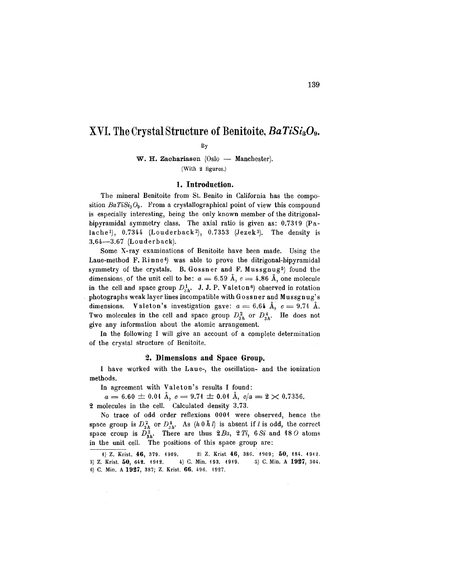# XVI. The Crystal Structure of Benitoite, *BaTiSia09.*

By

W. H. Zachariasen  $(Oslo - Manchecker).$ (With 2 figures.)

# 1. Introduction.

The mineral Benitoite from St. Benito in California has the composition  $BaTiSi<sub>3</sub>O<sub>9</sub>$ . From a crystallographical point of view this compound is especially interesting, being the only known member of the ditrigonalbipyramidal symmetry class. The axial ratio is given as: 0.7319 (Palache<sup>1</sup>),  $0.7344$  (Louderback<sup>2</sup>),  $0.7353$  (Jezek<sup>3</sup>). The density is 3.64-3.67 (Louderback).

Some X-ray examinations of Benitoite have been made. Using the Laue-method F. Rinne<sup>4</sup>) was able to prove the ditrigonal-bipyramidal symmetry of the crystals. B. Gossner and F. Mussgnug<sup>5</sup>) found the dimensions of the unit cell to be:  $a = 6.59 \text{ Å}, c = 4.86 \text{ Å},$  one molecule in the cell and space group  $D_{3h}^1$ . J. J. P. Valeton<sup>6</sup>) observed in rotation photographs weak layer lines incompatible with Gossn er and Mussgnug's dimensions. Valeton's investigation gave:  $a = 6.64$  Å,  $c = 9.74$  Å. Two molecules in the cell and space group  $D_{3h}^2$  or  $D_{3h}^4$ . He does not give any information about the atomic arrangement.

In the following I will give an account of a complete determination of the crystal structure of Benitoite.

### 2. Dimensions and Space Group.

I have worked with the Laue-, the oscillation- and the ionization methods.

In agreement with Valeton's results I found:

 $a = 6.60 \pm 0.01 \text{ Å}, c = 9.71 \pm 0.01 \text{ Å}, c/a = 2 \times 0.7356.$ 2 molecules in the cell. Calculated density 3.73.

No trace of odd order reflexions 0001 were observed, hence the space group is  $D_{3h}^2$  or  $D_{3h}^4$ . As  $(h \ 0 \ \bar{h} \ l)$  is absent if *l* is odd, the correct space croup is  $D_{3h}^2$ . There are thus  $2Ba$ ,  $2Ti$ ,  $6 Si$  and  $18 O$  atoms in the unit cell. The positions of this space group are:

<sup>1)</sup> Z. Krist. 46, 379. 1909. 2) Z. Krist 46, 386. 1909; 50, 184. 1912. 3) Z. Krist. 50, 642. 1912. 4) C. Min. 193. 1919. 5) C. Min. A 1927, 304. 6) C. Min. A 1927, 387; Z. Krist. 66. 496.1927.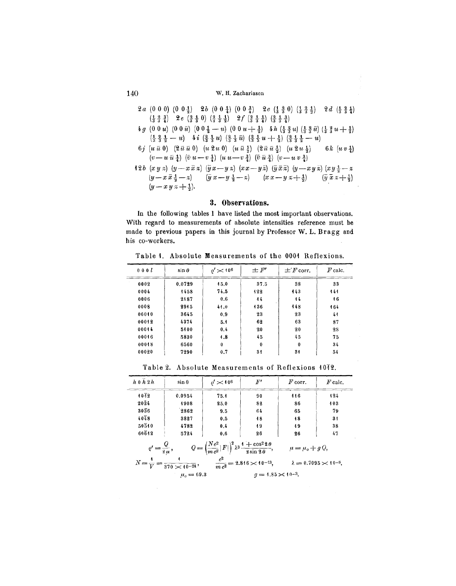# 140 W. H. Zachariascn

- $2a (0 0 0) (0 0 1) 2b (0 0 1) (0 0 2)$   $2c (\frac{1}{3} 3 0) (\frac{1}{3} 3 1) 2d (\frac{1}{3} 3 1)$  $\left(\frac{1}{3}, \frac{3}{3}, \frac{3}{4}\right)$  2 *e*  $\left(\frac{3}{3}, \frac{4}{3}, 0\right)$   $\left(\frac{2}{3}, \frac{1}{3}, \frac{1}{2}\right)$  2 f  $\left(\frac{2}{3}, \frac{1}{3}, \frac{1}{4}\right)$   $\left(\frac{3}{3}, \frac{1}{3}, \frac{3}{4}\right)$
- $4g (00u) (00\bar{u}) (00\frac{1}{2}-u) (00u+\frac{1}{2}) 4h(\frac{1}{3}\frac{3}{3}u)(\frac{1}{3}\frac{3}{3}\bar{u})(\frac{1}{3}\frac{3}{3}u+\frac{1}{3})$  $\left(1\frac{1}{2}, \frac{2}{3}, \frac{1}{2}, -u\right)$   $\left(4i\left(\frac{2}{3}, \frac{1}{3}, u\right)$   $\left(\frac{2}{3}, \frac{1}{3}, \overline{u}\right)$   $\left(\frac{2}{3}, \frac{1}{3}, u + \frac{1}{2}\right)$   $\left(\frac{2}{3}, \frac{1}{3}, \frac{1}{2}, -u\right)$
- *6j*  $(u \bar{u} 0)$   $(2 \bar{u} \bar{u} 0)$   $(u \bar{2u} 0)$   $(u \bar{u} \frac{1}{2})$   $(2 \bar{u} \bar{u} \frac{1}{2})$   $(u \bar{2u} \frac{1}{2})$  6k  $(u v \frac{1}{4})$  $(v-u\bar{u}+v\bar{t})$   $(\bar{v}u-v+1)(u\bar{u}-v\bar{t})$   $(\bar{v}+\bar{u}+\bar{t})(v-u\bar{v}\bar{t})$
- **12b**  $(x y x) (y-x \bar{x} x) (\bar{y} x y z) (x x y \bar{x}) (\bar{y} \bar{x} \bar{x}) (y-x y \bar{x}) (x y + \bar{x} x z)$  $(y-x\bar{x}+z)$   $(\bar{y}x-y+z-z)$   $(xx-yz+z)$  $(y-x y z + \frac{1}{2}).$  $\left(\overline{y} \ \overline{x} \ x + \frac{1}{2}\right)$

# **3. Observations.**

**In** the following tables I have listed the most important observations. With regard to measurements of absolute intensities reference must be made to previous papers in this journal by Professor W. L. Bragg and his co-workers.

Table 1. Absolute Measurements of the 0001 Reflexions.

| 000l  | $\sin \theta$ | $\rho'$ $\asymp$ 10 <sup>6</sup> | $\pm F'$ | $\pm$ 'F' corr. | $F$ calc. |
|-------|---------------|----------------------------------|----------|-----------------|-----------|
| 0002  | 0.0729        | 15.0                             | 37.5     | 38              | 33        |
| 0004  | 1458          | 74.5                             | 122      | 143             | 444       |
| 0006  | 2187          | 0.6                              | 44       | 44              | 46        |
| 0008  | 2945          | 41.0                             | 136      | 448             | 464       |
| 00010 | 3645          | 0.9                              | 23       | 23              | 44        |
| 00012 | 4374          | 5.1                              | 62       | 63              | 87        |
| 00014 | 5100          | 0.4                              | 20       | 20              | 28        |
| 00016 | 5830          | 4.8                              | 45       | 45              | 75        |
| 00018 | 6560          | $\bf{0}$                         | $\bf{0}$ | $\bf{0}$        | 34        |
| 00020 | 7290          | 0.7                              | 31       | 34              | 54        |

Table 2. Absolute Measurements of Reflexions 1072.

| $h\,0\,\overline{h}\,2\,h$                                                                                                                     | $\sin \theta$ | $\rho'$ $\,\times$ 10 <sup>6</sup> | $F^{\prime}$ | $F$ corr. | $F$ calc. |  |  |
|------------------------------------------------------------------------------------------------------------------------------------------------|---------------|------------------------------------|--------------|-----------|-----------|--|--|
| 1012                                                                                                                                           | 0.0954        | 75.4                               | 90           | 446       | 424       |  |  |
| 2024                                                                                                                                           | 4908          | 25.0                               | 82           | 86        | 403       |  |  |
| $30\overline{3}6$                                                                                                                              | 2862          | 9.5                                | 64           | 65        | 79        |  |  |
| $40^{18}$                                                                                                                                      | 3827          | 0.5                                | 18           | 48        | 31        |  |  |
| $50\bar{5}10$                                                                                                                                  | 4782          | 0.4                                | 49           | 49        | 38        |  |  |
| 60612                                                                                                                                          | 5724          | 0.6                                | 26           | 26        | 47        |  |  |
| $Q = \left(\frac{Ne^2}{mc^2} F \right)^2\lambda^3\frac{1+\cos^22\theta}{2\sin2\theta},$<br>$\rho' = \frac{Q}{2\,\mu}$ ,<br>$\mu = \mu_o + g Q$ |               |                                    |              |           |           |  |  |
| $N = \frac{4}{V} = \frac{4}{370 \times 40^{-24}},$ $\frac{e^2}{mc^2} = 2.846 \times 40^{-13},$<br>$\lambda = 0.7095 \times 10^{-8}$ ,          |               |                                    |              |           |           |  |  |
| $q = 1.85 \times 10^{-3}$ .<br>$\mu_{0} = 69.3$                                                                                                |               |                                    |              |           |           |  |  |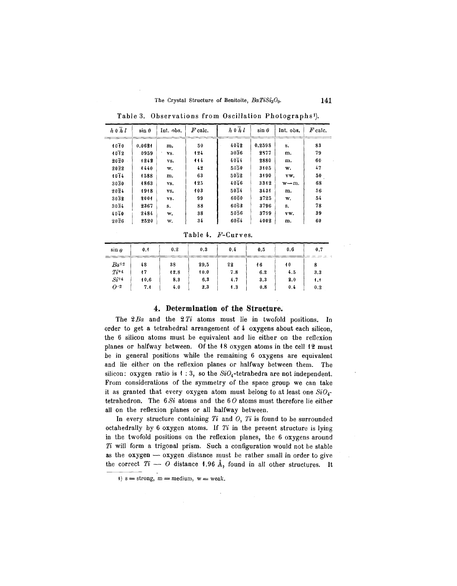#### The Crystal Structure of Benitoite, *BaTiSi309.* **141**

| $h \circ h \cdot l$ | $\sin \theta$ | Int. obs. | $F$ calc. | $h\,0\,h\,l$      | $\sin \theta$ | Int. obs. | $F$ calc. |
|---------------------|---------------|-----------|-----------|-------------------|---------------|-----------|-----------|
| 1070                | 0.0624        | m.        | 50        | 4042              | 0.2598        | s.        | 83        |
| $10^{12}$           | 0959          | VS.       | 124       | $30\overline{3}6$ | 2377          | m.        | 79        |
| $20\overline{2}0$   | 1242          | VS.       | 114       | $40\bar{4}4$      | 2880          | m.        | 60        |
| $20\bar{2}2$        | 4440          | w.        | 42        | 5050              | 3405          | w.        | 47        |
| 1074                | 1588          | m.        | 63        | 5052              | 3190          | vw.       | 50        |
| $30\overline{3}0$   | 1863          | VS.       | 125       | 4076              | 3312          | $w - m$ . | 68        |
| $20\overline{2}4$   | 1918          | vs.       | 103       | $50\overline{5}4$ | 3434          | m.        | 56        |
| $30\overline{3}2$   | 2004          | vs.       | 99        | 6060              | 3725          | w.        | 54        |
| 3034                | 2367          | s.        | 88        | 6062              | 3796          | s.        | 78        |
| $40\bar{4}0$        | 2484          | w.        | 38        | $50\overline{5}6$ | 3799          | vw.       | 39        |
| $20\overline{2}6$   | 2520          | w.        | 34        | 6064              | 4002          | m.        | 60        |

Table 3. Observations from Oscillation Photographs').

Table 4. F-Curves.

| $\sin \theta$ | 0.1  | 0.2  | 0.3  | 0.4 | 0.5 | 0.6 | 0.7 |
|---------------|------|------|------|-----|-----|-----|-----|
| $Ba^{+2}$     | 48   | 38   | 29.5 | 22  | 46  | 40  | 8   |
| $Ti+4$        | 17   | 12.8 | 10.0 | 7.8 | 6.2 | 4.5 | 3.3 |
| $Si^{+4}$     | 40.6 | 8.3  | 6,3  | 4.7 | 3.3 | 2.0 | 1.1 |
| $O^{-2}$      | 7.4  | 4.0  | 2.3  | 1.3 | 0.8 | 0.4 | 0.2 |

## **4. Determination of the Structure.**

The *2Ba* and the 2 *Ti* atoms must lie in twofold positions. In order to get a tetrahedral arrangement of 4 oxygens about each silicon, the 6 silicon atoms must be equivalent and lie either on the reflexion planes or halfway between. Of the 18 oxygen atoms in the cell 12 must be in general positions while the remaining 6 oxygens are equivalent and lie either on the reflexion planes or halfway between them. The silicon: oxygen ratio is  $1:3$ , so the  $SiO<sub>4</sub>$ -tetrahedra are not independent. From considerations of the symmetry of the space group we can take it as granted that every oxygen atom must belong to at least one *Si04* tetrahedron. The  $6.8i$  atoms and the  $6.0$  atoms must therefore lie either all on the reflexion planes or all halfway between.

In every structure containing *Ti* and 0, *Ti* is found to be surrounded octahedrally by 6 oxygen atoms. If *Ti* in the present structure is lying in the twofold positions on the reflexion planes, the 6 oxygens around *Ti* will form a trigonal prism. Such a configuration would not be stable as the  $oxygen \rightarrow oxygen$  distance must be rather small in order to give the correct  $Ti - O$  distance 1.96 Å, found in all other structures. It

<sup>1)</sup>  $s =$  strong,  $m =$  medium,  $w =$  weak.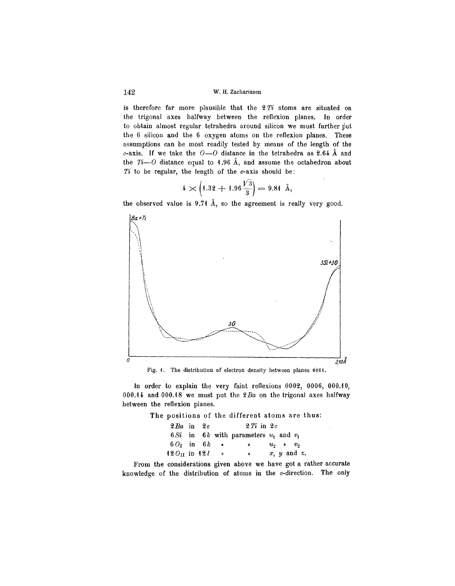#### 142 W. H. Zachariasen

is therefore far more plausible that the 2 *Ti* atoms are situated on the trigonal axes halfway between the reflexion planes. In order to obtain almost regular tetrahedra around silicon we must further put the  $6$  silicon and the  $6$  oxygen atoms on the reflexion planes. These assumptions can be most readily tested by means of the length of the c-axis. If we take the  $O=O$  distance in the tetrahedra as 2.64  $\AA$  and the  $Ti-O$  distance equal to 1.96 Å, and assume the octahedron about  $Ti$  to be regular, the length of the  $c$ -axis should be:

$$
4 \times \left(1.32 + 1.96 \frac{\sqrt{3}}{3}\right) = 9.81 \text{ Å},
$$

the observed value is  $9.71 \text{ Å}$ , so the agreement is really very good.



Fig. 1. The distribution of electron density between planes 0001.

In order to explain the very faint reflexions 0002, 0006, 000.10, 000.14 and 000.18 we must put the *2Ba* on the trigonal axes halfway between the reflexion planes.

The positions of the different atoms are thus:

| $2 Ba$ in $2e$        |  |               | $2 Ti$ in $2c$                             |                  |
|-----------------------|--|---------------|--------------------------------------------|------------------|
|                       |  |               | 6.Si in 6k with parameters $u_1$ and $v_1$ |                  |
| $60r$ in $6k$ >       |  |               | $\rightarrow$                              | $u_2$ $v_2$      |
| $12 O_{II}$ in $12 l$ |  | $\rightarrow$ | $\mathbf{v}$                               | $x, y$ and $x$ . |

From the considerations given above we have got a rather accurate knowledge of the distribution of atoms in the c-direction. The only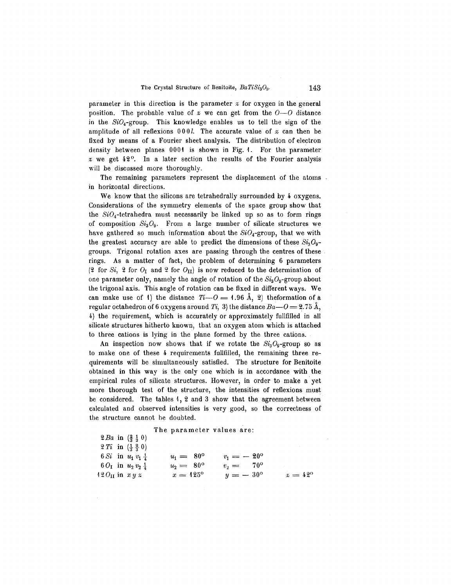parameter in this direction is the parameter  $x$  for oxygen in the general position. The probable value of  $x$  we can get from the  $0-0$  distance in the  $SiO<sub>4</sub>$ -group. This knowledge enables us to tell the sign of the amplitude of all reflexions  $000l$ . The accurate value of  $x$  can then be fixed by means of a Fourier sheet analysis. The distribution of electron density between planes 0001 is shown in Fig. 1. For the parameter  $x$  we get  $42^\circ$ . In a later section the results of the Fourier analysis will be discussed more thoroughly.

The remaining parameters represent the displacement of the atoms in horizontal directions.

We know that the silicons are tetrahedrally surrounded by 4 oxygens. Considerations of the symmetry elements of the space group show that the  $SiO<sub>4</sub>$ -tetrahedra must necessarily be linked up so as to form rings of composition  $Si<sub>3</sub>O<sub>9</sub>$ . From a large number of silicate structures we have gathered so much information about the  $SiO<sub>4</sub>$ -group, that we with the greatest accuracy are able to predict the dimensions of these  $Si_3O_9$ groups. Trigonal rotation axes are passing through the centres of these rings. As a matter of fact, the problem of determining 6 parameters (2 for *Si*, 2 for  $O_{\text{I}}$  and 2 for  $O_{\text{II}}$ ) is now reduced to the determination of one parameter only, namely the angle of rotation of the  $Si<sub>3</sub>O<sub>9</sub>$ -group about the trigonal axis. This angle of rotation can be fixed in different ways. We can make use of 1) the distance  $Ti-O = 1.96$  Å, 2) the formation of a regular octahedron of 6 oxygens around *Ti*, 3) the distance  $Ba - O = 2.75 \text{ Å}$ , 4) the requirement, which is accurately or approximately fullfilled in all silicate structures hitherto known, that an oxygen atom which is attached to three cations is lying in the plane formed by the three cations.

An inspection now shows that if we rotate the  $Si<sub>3</sub>O<sub>9</sub>$ -group so as to make one of these 4. requirements fullfilled, the remaining three requirements will be simultaneously satisfied. The structure for Benitoite obtained in this way is the only one which is in accordance with the empirical rules of silicate structures. However, in order to make a yet more thorough test of the structure, the intensities of reflexions must be considered. The tables 1, 2 and 3 show that the agreement between calculated and observed intensities is very good, so the correctness of the structure cannot he doubted.

The parameter values are:

| 2 Ba in $(\frac{2}{3}, \frac{1}{3}, 0)$        |                    |                      |                |
|------------------------------------------------|--------------------|----------------------|----------------|
| 2 <i>Ti</i> in $(\frac{1}{3}, \frac{2}{3}, 0)$ |                    |                      |                |
| 6 <i>Si</i> in $u_1 v_1 \frac{1}{4}$           | $u_1 = 80^{\circ}$ | $v_1 = -20^{\circ}$  |                |
| $601$ in $u_2v_2$ $\frac{1}{4}$                | $u_2 = 80^{\circ}$ | 70°<br>$v_{\rm b} =$ |                |
| $42O_H$ in $xy \, x$                           | $x = 125^{\circ}$  | $y = -30^{\circ}$    | $x=42^{\circ}$ |
|                                                |                    |                      |                |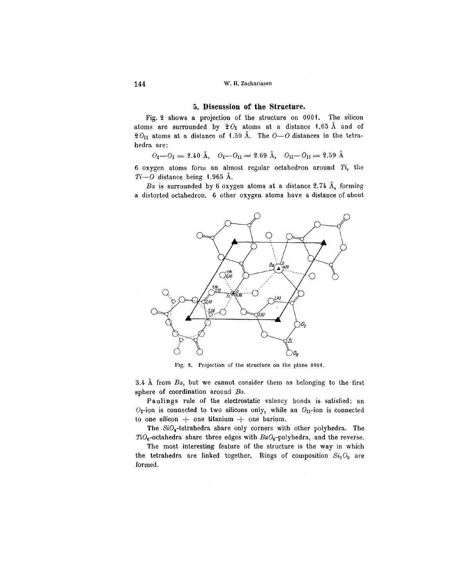# 5. Discussion of the Structure.

Fig. 2 shows a projection of the structure on 0001. The silicon atoms are surrounded by  $2O<sub>I</sub>$  atoms at a distance 1.65 Å and of  $20_{\text{II}}$  atoms at a distance of 1.59 Å. The  $0-0$  distances in the tetrahedra are:

$$
O_{\rm I}-O_{\rm I}=2.40~{\rm \AA},~~O_{\rm I}-O_{\rm II}=2.69~{\rm \AA},~~O_{\rm II}-O_{\rm II}=2.59~{\rm \AA}
$$

6 oxygen atoms fOrln an almost regular octahedron around *Ti,* the  $Ti-O$  distance being 1.965 Å.

*Ba* is surrounded by 6 oxygen atoms at a distance  $2.74$  Å, forming a distorted octahedron. 6 other oxygen atoms have a dislance of about



Fig. 2. Projection of the structure on the plane 0001.

3.4  $\AA$  from  $Ba$ , but we cannot consider them as belonging to the first sphere of coordination around *Ba.*

Paulings rule of the electrostatic valency bonds is satisfied: an  $O<sub>I</sub>$ -ion is connected to two silicons only, while an  $O<sub>II</sub>$ -ion is connected to one silicon  $+$  one titanium  $+$  one barium.

The SiO<sub>4</sub>-tetrahedra share only corners with other polyhedra. The  $TiO_6$ -octahedra share three edges with  $BaO_6$ -polyhedra, and the reverse.

The most interesting feature of the structure is the way in which the tetrahedra are linked together. Rings of composition  $Si<sub>3</sub>O<sub>9</sub>$  are formed.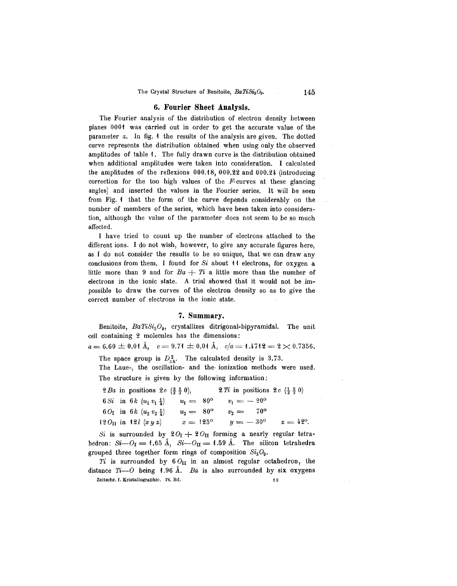#### The Crystal Structure of Benitoite,  $BaTiSi<sub>3</sub>O<sub>9</sub>$ . 145

#### **6. Fourier Sheet Analysis.**

The Fourier analysis of the distribution of electron density between planes 0001 was carried out in order to get the accurate value of the parameter  $x$ . In fig. 4 the results of the analysis are given. The dotted curve represents the distribution obtained when using only the observed amplitudes of table 1. The fully drawn curve is the distribution obtained when additional amplitudes were taken into consideration. I calculated the amplitudes of the reflexions 000.18, 000.22 and 000.24 (introducing correction for the too high values of the  $F$ -curves at these glancing angles) and inserted the values in the Fourier series. It will be seen from Fig. 1 that the form of the curve depends considerably on the number of members of the series, which have been taken into consideration, although the value of the parameter does not seem to be so much affected.

I have tried to count up the number of electrons attached to the different ions. I do not wish, however, to give any accurate figures here, as I do not consider the results to be so unique, that we can draw any conclusions from them. I found for  $Si$  about 11 electrons, for oxygen a little more than 9 and for  $Ba + Ti$  a little more than the number of electrons in the ionic state. A trial showed that it would not be impossible to draw the curves of the electron density so as to give the correct number of electrons in the ionic state.

#### **7. Summary.**

Benitoite, *BaTiSi<sub>3</sub>O<sub>9</sub>*, crystallizes ditrigonal-bipyramidal. The unit -cell containing 2 molecules has the dimensions:

 $a = 6.60 \pm 0.01 \text{ Å}, \quad c = 9.71 \pm 0.01 \text{ Å}, \quad c/a = 1.4712 = 2 \times 0.7356.$ 

The space group is  $D_{3h}^2$ . The calculated density is 3.73.

The Laue-, the oscillation- and the ionization methods were used. The structure is given by the following information:

|  | 2 Ba in positions 2e $(\frac{2}{3}, \frac{1}{3}, 0)$ , |                    | 2 Ti in positions 2 c $(\frac{1}{3}, \frac{2}{3}, 0)$ |  |
|--|--------------------------------------------------------|--------------------|-------------------------------------------------------|--|
|  | 6 Si in 6 k $(u_1, v_1, \frac{1}{4})$                  | $u_1 = 80^{\circ}$ | $v_1 = -20^{\circ}$                                   |  |
|  | $6 O_{\rm I}$ in $6 k (u_2 v_2 t)$                     | $u_2 = 80^{\circ}$ | $v_2 = 70^{\circ}$                                    |  |
|  | 12 $O_{\text{II}}$ in 12 $l(x y x)$                    | $x = 125^{\circ}$  | $y = -30^{\circ}$ $x = 42^{\circ}$ .                  |  |

*Si* is surrounded by  $20<sub>T</sub> + 20<sub>II</sub>$  forming a nearly regular tetrahedron:  $Si-O<sub>I</sub> = 1.65$  Å,  $Si-O<sub>II</sub> = 1.59$  Å. The silicon tetrahedra grouped three together form rings of composition *SiaOg.*

*Ti* is surrounded by  $6 O_H$  in an almost regular octahedron, the distance  $Ti$ — $O$  being 1.96 Å. *Ba* is also surrounded by six oxygens Zeitschr. f. Kristallographie. 74. Bd. 10